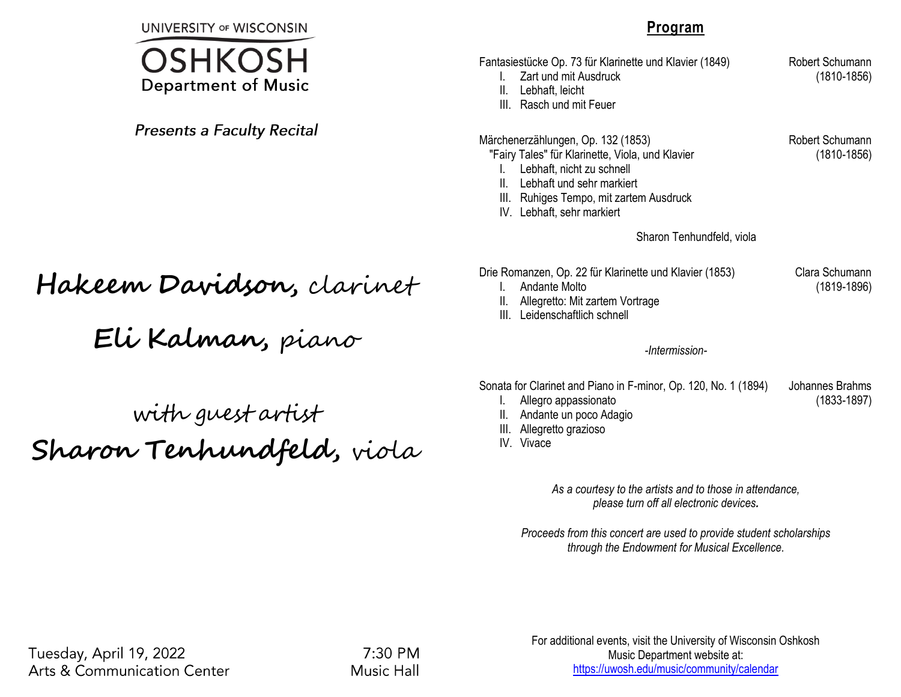**UNIVERSITY OF WISCONSIN** 



**Presents a Faculty Recital** 

# **Hakeem Davidson,** clarinet

**Eli Kalman,** piano

## with guest artist **Sharon Tenhundfeld,** viola

#### **Program**

- Fantasiestücke Op. 73 für Klarinette und Klavier (1849) Robert Schumann
	- I. Zart und mit Ausdruck (1810-1856)
	- II. Lebhaft, leicht
	- III. Rasch und mit Feuer

#### Märchenerzählungen, Op. 132 (1853) Robert Schumann

"Fairy Tales" für Klarinette, Viola, und Klavier (1810-1856)

- I. Lebhaft, nicht zu schnell
- II. Lebhaft und sehr markiert
- III. Ruhiges Tempo, mit zartem Ausdruck
- IV. Lebhaft, sehr markiert

Sharon Tenhundfeld, viola

- Drie Romanzen, Op. 22 für Klarinette und Klavier (1853) Clara Schumann
	- I. Andante Molto (1819-1896)
	- II. Allegretto: Mit zartem Vortrage
	- III. Leidenschaftlich schnell

*-Intermission-*

Sonata for Clarinet and Piano in F-minor, Op. 120, No. 1 (1894) Johannes Brahms

- I. Allegro appassionato (1833-1897)
- II. Andante un poco Adagio
- III. Allegretto grazioso
- IV. Vivace

*As a courtesy to the artists and to those in attendance, please turn off all electronic devices.*

*Proceeds from this concert are used to provide student scholarships through the Endowment for Musical Excellence.*